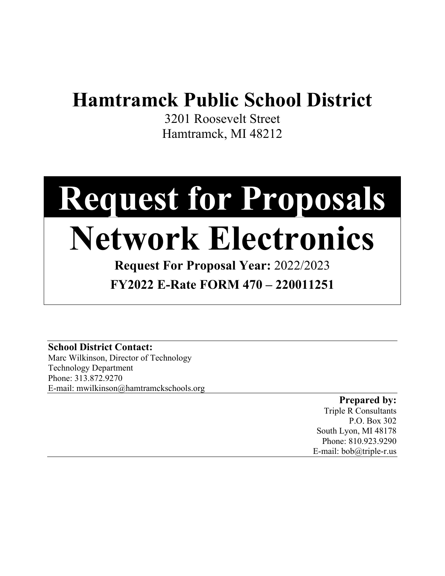### **Hamtramck Public School District**

3201 Roosevelt Street Hamtramck, MI 48212

# **Request for Proposals**

## **Network Electronics**

**Request For Proposal Year:** 2022/2023 **FY2022 E-Rate FORM 470 – 220011251**

**School District Contact:** Marc Wilkinson, Director of Technology Technology Department Phone: 313.872.9270

E-mail: mwilkinson@hamtramckschools.org

**Prepared by:** Triple R Consultants P.O. Box 302 South Lyon, MI 48178 Phone: 810.923.9290 E-mail: bob@triple-r.us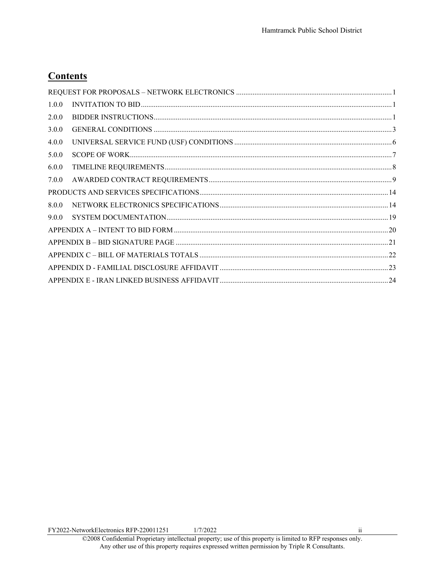#### **Contents**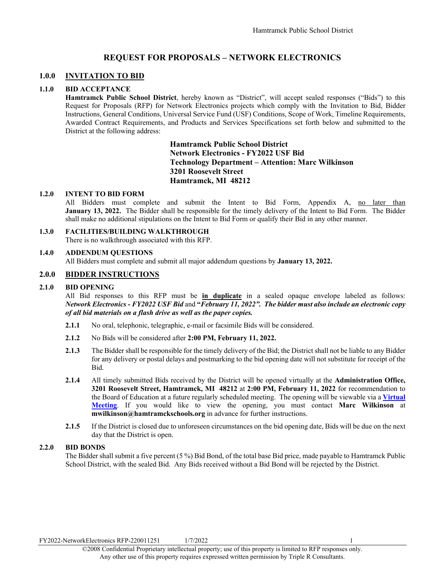#### **REQUEST FOR PROPOSALS – NETWORK ELECTRONICS**

#### <span id="page-2-1"></span><span id="page-2-0"></span>**1.0.0 INVITATION TO BID**

#### **1.1.0 BID ACCEPTANCE**

**Hamtramck Public School District**, hereby known as "District", will accept sealed responses ("Bids") to this Request for Proposals (RFP) for Network Electronics projects which comply with the Invitation to Bid, Bidder Instructions, General Conditions, Universal Service Fund (USF) Conditions, Scope of Work, Timeline Requirements, Awarded Contract Requirements, and Products and Services Specifications set forth below and submitted to the District at the following address:

> **Hamtramck Public School District Network Electronics - FY2022 USF Bid Technology Department – Attention: Marc Wilkinson 3201 Roosevelt Street Hamtramck, MI 48212**

#### **1.2.0 INTENT TO BID FORM**

All Bidders must complete and submit the Intent to Bid Form, Appendix A, no later than **January 13, 2022.** The Bidder shall be responsible for the timely delivery of the Intent to Bid Form. The Bidder shall make no additional stipulations on the Intent to Bid Form or qualify their Bid in any other manner.

#### **1.3.0 FACILITIES/BUILDING WALKTHROUGH**

There is no walkthrough associated with this RFP.

#### **1.4.0 ADDENDUM QUESTIONS**

All Bidders must complete and submit all major addendum questions by **January 13, 2022.**

#### <span id="page-2-2"></span>**2.0.0 BIDDER INSTRUCTIONS**

#### **2.1.0 BID OPENING**

All Bid responses to this RFP must be **in duplicate** in a sealed opaque envelope labeled as follows: *Network Electronics - FY2022 USF Bid* and **"***February 11, 2022". The bidder must also include an electronic copy of all bid materials on a flash drive as well as the paper copies.*

- **2.1.1** No oral, telephonic, telegraphic, e-mail or facsimile Bids will be considered.
- **2.1.2** No Bids will be considered after **2:00 PM, February 11, 2022.**
- **2.1.3** The Bidder shall be responsible for the timely delivery of the Bid; the District shall not be liable to any Bidder for any delivery or postal delays and postmarking to the bid opening date will not substitute for receipt of the Bid.
- **2.1.4** All timely submitted Bids received by the District will be opened virtually at the **Administration Office, 3201 Roosevelt Street, Hamtramck, MI 48212** at **2:00 PM, February 11, 2022** for recommendation to the Board of Education at a future regularly scheduled meeting. The opening will be viewable via a **[Virtual](https://us06web.zoom.us/j/87105264921)  [Meeting](https://us06web.zoom.us/j/87105264921)**. If you would like to view the opening, you must contact **Marc Wilkinson** at **mwilkinson@hamtramckschools.org** in advance for further instructions.
- **2.1.5** If the District is closed due to unforeseen circumstances on the bid opening date, Bids will be due on the next day that the District is open.

#### **2.2.0 BID BONDS**

The Bidder shall submit a five percent (5 %) Bid Bond, of the total base Bid price, made payable to Hamtramck Public School District, with the sealed Bid. Any Bids received without a Bid Bond will be rejected by the District.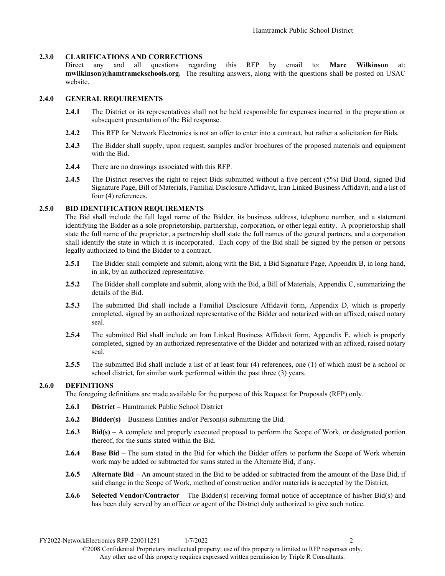#### **2.3.0 CLARIFICATIONS AND CORRECTIONS**

Direct any and all questions regarding this RFP by email to: **Marc Wilkinson** at: **mwilkinson@hamtramckschools.org.** The resulting answers, along with the questions shall be posted on USAC website.

#### **2.4.0 GENERAL REQUIREMENTS**

- **2.4.1** The District or its representatives shall not be held responsible for expenses incurred in the preparation or subsequent presentation of the Bid response.
- **2.4.2** This RFP for Network Electronics is not an offer to enter into a contract, but rather a solicitation for Bids.
- **2.4.3** The Bidder shall supply, upon request, samples and/or brochures of the proposed materials and equipment with the Bid.
- **2.4.4** There are no drawings associated with this RFP.
- **2.4.5** The District reserves the right to reject Bids submitted without a five percent (5%) Bid Bond, signed Bid Signature Page, Bill of Materials, Familial Disclosure Affidavit, Iran Linked Business Affidavit, and a list of four (4) references.

#### **2.5.0 BID IDENTIFICATION REQUIREMENTS**

The Bid shall include the full legal name of the Bidder, its business address, telephone number, and a statement identifying the Bidder as a sole proprietorship, partnership, corporation, or other legal entity. A proprietorship shall state the full name of the proprietor, a partnership shall state the full names of the general partners, and a corporation shall identify the state in which it is incorporated. Each copy of the Bid shall be signed by the person or persons legally authorized to bind the Bidder to a contract.

- **2.5.1** The Bidder shall complete and submit, along with the Bid, a Bid Signature Page, Appendix B, in long hand, in ink, by an authorized representative.
- **2.5.2** The Bidder shall complete and submit, along with the Bid, a Bill of Materials, Appendix C, summarizing the details of the Bid.
- **2.5.3** The submitted Bid shall include a Familial Disclosure Affidavit form, Appendix D, which is properly completed, signed by an authorized representative of the Bidder and notarized with an affixed, raised notary seal.
- **2.5.4** The submitted Bid shall include an Iran Linked Business Affidavit form, Appendix E, which is properly completed, signed by an authorized representative of the Bidder and notarized with an affixed, raised notary seal.
- **2.5.5** The submitted Bid shall include a list of at least four (4) references, one (1) of which must be a school or school district, for similar work performed within the past three (3) years.

#### **2.6.0 DEFINITIONS**

The foregoing definitions are made available for the purpose of this Request for Proposals (RFP) only.

- **2.6.1 District –** Hamtramck Public School District
- **2.6.2 Bidder(s) –** Business Entities and/or Person(s) submitting the Bid.
- **2.6.3 Bid(s)** A complete and properly executed proposal to perform the Scope of Work, or designated portion thereof, for the sums stated within the Bid.
- **2.6.4 Base Bid**  The sum stated in the Bid for which the Bidder offers to perform the Scope of Work wherein work may be added or subtracted for sums stated in the Alternate Bid, if any.
- **2.6.5 Alternate Bid**  An amount stated in the Bid to be added or subtracted from the amount of the Base Bid, if said change in the Scope of Work, method of construction and/or materials is accepted by the District.
- **2.6.6 Selected Vendor/Contractor**  The Bidder(s) receiving formal notice of acceptance of his/her Bid(s) and has been duly served by an officer *or* agent of the District duly authorized to give such notice.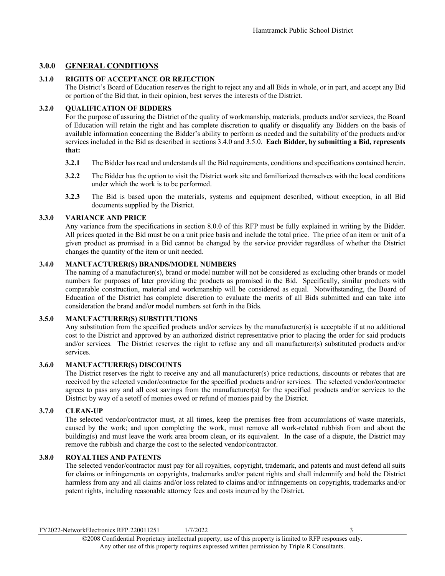#### <span id="page-4-0"></span>**3.0.0 GENERAL CONDITIONS**

#### **3.1.0 RIGHTS OF ACCEPTANCE OR REJECTION**

The District's Board of Education reserves the right to reject any and all Bids in whole, or in part, and accept any Bid or portion of the Bid that, in their opinion, best serves the interests of the District.

#### **3.2.0 QUALIFICATION OF BIDDERS**

For the purpose of assuring the District of the quality of workmanship, materials, products and/or services, the Board of Education will retain the right and has complete discretion to qualify or disqualify any Bidders on the basis of available information concerning the Bidder's ability to perform as needed and the suitability of the products and/or services included in the Bid as described in sections 3.4.0 and 3.5.0. **Each Bidder, by submitting a Bid, represents that:**

- **3.2.1** The Bidder has read and understands all the Bid requirements, conditions and specifications contained herein.
- **3.2.2** The Bidder has the option to visit the District work site and familiarized themselves with the local conditions under which the work is to be performed.
- **3.2.3** The Bid is based upon the materials, systems and equipment described, without exception, in all Bid documents supplied by the District.

#### **3.3.0 VARIANCE AND PRICE**

Any variance from the specifications in section 8.0.0 of this RFP must be fully explained in writing by the Bidder. All prices quoted in the Bid must be on a unit price basis and include the total price. The price of an item or unit of a given product as promised in a Bid cannot be changed by the service provider regardless of whether the District changes the quantity of the item or unit needed.

#### **3.4.0 MANUFACTURER(S) BRANDS/MODEL NUMBERS**

The naming of a manufacturer(s), brand or model number will not be considered as excluding other brands or model numbers for purposes of later providing the products as promised in the Bid. Specifically, similar products with comparable construction, material and workmanship will be considered as equal. Notwithstanding, the Board of Education of the District has complete discretion to evaluate the merits of all Bids submitted and can take into consideration the brand and/or model numbers set forth in the Bids.

#### **3.5.0 MANUFACTURER(S) SUBSTITUTIONS**

Any substitution from the specified products and/or services by the manufacturer(s) is acceptable if at no additional cost to the District and approved by an authorized district representative prior to placing the order for said products and/or services. The District reserves the right to refuse any and all manufacturer(s) substituted products and/or services.

#### **3.6.0 MANUFACTURER(S) DISCOUNTS**

The District reserves the right to receive any and all manufacturer(s) price reductions, discounts or rebates that are received by the selected vendor/contractor for the specified products and/or services. The selected vendor/contractor agrees to pass any and all cost savings from the manufacturer(s) for the specified products and/or services to the District by way of a setoff of monies owed or refund of monies paid by the District.

#### **3.7.0 CLEAN-UP**

The selected vendor/contractor must, at all times, keep the premises free from accumulations of waste materials, caused by the work; and upon completing the work, must remove all work-related rubbish from and about the building(s) and must leave the work area broom clean, or its equivalent. In the case of a dispute, the District may remove the rubbish and charge the cost to the selected vendor/contractor.

#### **3.8.0 ROYALTIES AND PATENTS**

The selected vendor/contractor must pay for all royalties, copyright, trademark, and patents and must defend all suits for claims or infringements on copyrights, trademarks and/or patent rights and shall indemnify and hold the District harmless from any and all claims and/or loss related to claims and/or infringements on copyrights, trademarks and/or patent rights, including reasonable attorney fees and costs incurred by the District.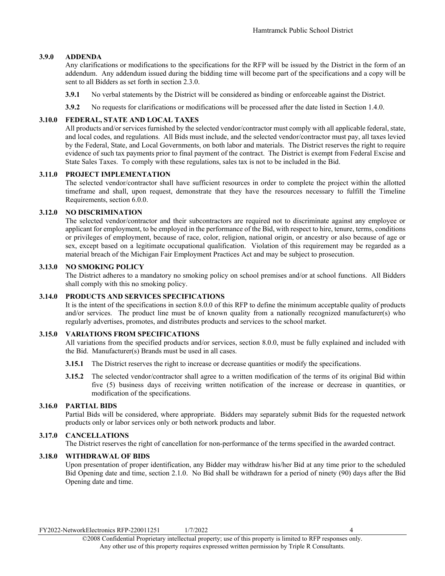#### **3.9.0 ADDENDA**

Any clarifications or modifications to the specifications for the RFP will be issued by the District in the form of an addendum. Any addendum issued during the bidding time will become part of the specifications and a copy will be sent to all Bidders as set forth in section 2.3.0.

- **3.9.1** No verbal statements by the District will be considered as binding or enforceable against the District.
- **3.9.2** No requests for clarifications or modifications will be processed after the date listed in Section 1.4.0.

#### **3.10.0 FEDERAL, STATE AND LOCAL TAXES**

All products and/or services furnished by the selected vendor/contractor must comply with all applicable federal, state, and local codes, and regulations. All Bids must include, and the selected vendor/contractor must pay, all taxes levied by the Federal, State, and Local Governments, on both labor and materials. The District reserves the right to require evidence of such tax payments prior to final payment of the contract. The District is exempt from Federal Excise and State Sales Taxes. To comply with these regulations, sales tax is not to be included in the Bid.

#### **3.11.0 PROJECT IMPLEMENTATION**

The selected vendor/contractor shall have sufficient resources in order to complete the project within the allotted timeframe and shall, upon request, demonstrate that they have the resources necessary to fulfill the Timeline Requirements, section 6.0.0.

#### **3.12.0 NO DISCRIMINATION**

The selected vendor/contractor and their subcontractors are required not to discriminate against any employee or applicant for employment, to be employed in the performance of the Bid, with respect to hire, tenure, terms, conditions or privileges of employment, because of race, color, religion, national origin, or ancestry or also because of age or sex, except based on a legitimate occupational qualification. Violation of this requirement may be regarded as a material breach of the Michigan Fair Employment Practices Act and may be subject to prosecution.

#### **3.13.0 NO SMOKING POLICY**

The District adheres to a mandatory no smoking policy on school premises and/or at school functions. All Bidders shall comply with this no smoking policy.

#### **3.14.0 PRODUCTS AND SERVICES SPECIFICATIONS**

It is the intent of the specifications in section 8.0.0 of this RFP to define the minimum acceptable quality of products and/or services. The product line must be of known quality from a nationally recognized manufacturer(s) who regularly advertises, promotes, and distributes products and services to the school market.

#### **3.15.0 VARIATIONS FROM SPECIFICATIONS**

All variations from the specified products and/or services, section 8.0.0, must be fully explained and included with the Bid. Manufacturer(s) Brands must be used in all cases.

- **3.15.1** The District reserves the right to increase or decrease quantities or modify the specifications.
- **3.15.2** The selected vendor/contractor shall agree to a written modification of the terms of its original Bid within five (5) business days of receiving written notification of the increase or decrease in quantities, or modification of the specifications.

#### **3.16.0 PARTIAL BIDS**

Partial Bids will be considered, where appropriate. Bidders may separately submit Bids for the requested network products only or labor services only or both network products and labor.

#### **3.17.0 CANCELLATIONS**

The District reserves the right of cancellation for non-performance of the terms specified in the awarded contract.

#### **3.18.0 WITHDRAWAL OF BIDS**

Upon presentation of proper identification, any Bidder may withdraw his/her Bid at any time prior to the scheduled Bid Opening date and time, section 2.1.0. No Bid shall be withdrawn for a period of ninety (90) days after the Bid Opening date and time.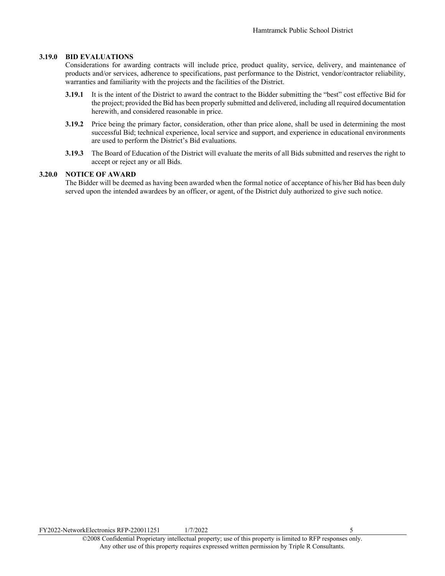#### **3.19.0 BID EVALUATIONS**

Considerations for awarding contracts will include price, product quality, service, delivery, and maintenance of products and/or services, adherence to specifications, past performance to the District, vendor/contractor reliability, warranties and familiarity with the projects and the facilities of the District.

- **3.19.1** It is the intent of the District to award the contract to the Bidder submitting the "best" cost effective Bid for the project; provided the Bid has been properly submitted and delivered, including all required documentation herewith, and considered reasonable in price.
- **3.19.2** Price being the primary factor, consideration, other than price alone, shall be used in determining the most successful Bid; technical experience, local service and support, and experience in educational environments are used to perform the District's Bid evaluations.
- **3.19.3** The Board of Education of the District will evaluate the merits of all Bids submitted and reserves the right to accept or reject any or all Bids.

#### **3.20.0 NOTICE OF AWARD**

The Bidder will be deemed as having been awarded when the formal notice of acceptance of his/her Bid has been duly served upon the intended awardees by an officer, or agent, of the District duly authorized to give such notice.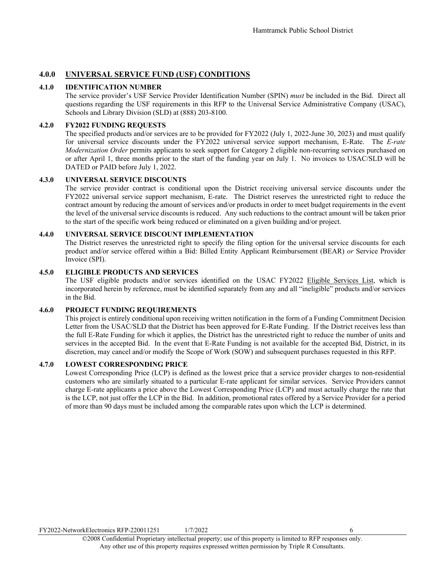#### <span id="page-7-0"></span>**4.0.0 UNIVERSAL SERVICE FUND (USF) CONDITIONS**

#### **4.1.0 IDENTIFICATION NUMBER**

The service provider's USF Service Provider Identification Number (SPIN) *must* be included in the Bid. Direct all questions regarding the USF requirements in this RFP to the Universal Service Administrative Company (USAC), Schools and Library Division (SLD) at (888) 203-8100.

#### **4.2.0 FY2022 FUNDING REQUESTS**

The specified products and/or services are to be provided for FY2022 (July 1, 2022-June 30, 2023) and must qualify for universal service discounts under the FY2022 universal service support mechanism, E-Rate. The *E-rate Modernization Order* permits applicants to seek support for Category 2 eligible non-recurring services purchased on or after April 1, three months prior to the start of the funding year on July 1. No invoices to USAC/SLD will be DATED or PAID before July 1, 2022.

#### **4.3.0 UNIVERSAL SERVICE DISCOUNTS**

The service provider contract is conditional upon the District receiving universal service discounts under the FY2022 universal service support mechanism, E-rate. The District reserves the unrestricted right to reduce the contract amount by reducing the amount of services and/or products in order to meet budget requirements in the event the level of the universal service discounts is reduced. Any such reductions to the contract amount will be taken prior to the start of the specific work being reduced or eliminated on a given building and/or project.

#### **4.4.0 UNIVERSAL SERVICE DISCOUNT IMPLEMENTATION**

The District reserves the unrestricted right to specify the filing option for the universal service discounts for each product and/or service offered within a Bid: Billed Entity Applicant Reimbursement (BEAR) *or* Service Provider Invoice (SPI).

#### **4.5.0 ELIGIBLE PRODUCTS AND SERVICES**

The USF eligible products and/or services identified on the USAC FY2022 Eligible Services List, which is incorporated herein by reference, must be identified separately from any and all "ineligible" products and/or services in the Bid.

#### **4.6.0 PROJECT FUNDING REQUIREMENTS**

This project is entirely conditional upon receiving written notification in the form of a Funding Commitment Decision Letter from the USAC/SLD that the District has been approved for E-Rate Funding. If the District receives less than the full E-Rate Funding for which it applies, the District has the unrestricted right to reduce the number of units and services in the accepted Bid. In the event that E-Rate Funding is not available for the accepted Bid, District, in its discretion, may cancel and/or modify the Scope of Work (SOW) and subsequent purchases requested in this RFP.

#### **4.7.0 LOWEST CORRESPONDING PRICE**

Lowest Corresponding Price (LCP) is defined as the lowest price that a service provider charges to non-residential customers who are similarly situated to a particular E-rate applicant for similar services. Service Providers cannot charge E-rate applicants a price above the Lowest Corresponding Price (LCP) and must actually charge the rate that is the LCP, not just offer the LCP in the Bid. In addition, promotional rates offered by a Service Provider for a period of more than 90 days must be included among the comparable rates upon which the LCP is determined.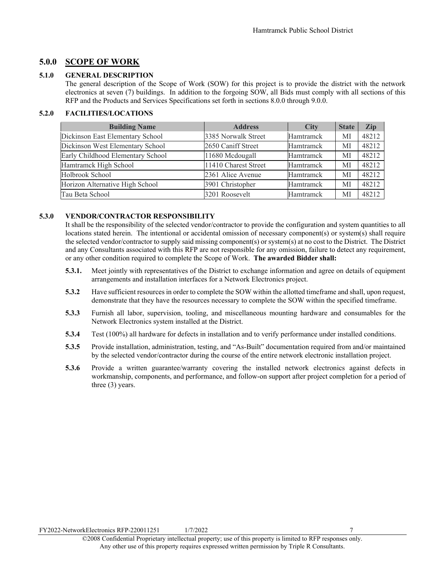#### <span id="page-8-0"></span>**5.0.0 SCOPE OF WORK**

#### **5.1.0 GENERAL DESCRIPTION**

The general description of the Scope of Work (SOW) for this project is to provide the district with the network electronics at seven (7) buildings. In addition to the forgoing SOW, all Bids must comply with all sections of this RFP and the Products and Services Specifications set forth in sections 8.0.0 through 9.0.0.

#### **5.2.0 FACILITIES/LOCATIONS**

| <b>Building Name</b>              | <b>Address</b>       | <b>City</b> | <b>State</b> | Zip   |
|-----------------------------------|----------------------|-------------|--------------|-------|
| Dickinson East Elementary School  | 3385 Norwalk Street  | Hamtramck   | МI           | 48212 |
| Dickinson West Elementary School  | 2650 Caniff Street   | Hamtramck   | МI           | 48212 |
| Early Childhood Elementary School | 11680 Mcdougall      | Hamtramck   | МI           | 48212 |
| Hamtramck High School             | 11410 Charest Street | Hamtramck   | МI           | 48212 |
| Holbrook School                   | 2361 Alice Avenue    | Hamtramck   | МI           | 48212 |
| Horizon Alternative High School   | 3901 Christopher     | Hamtramck   | МI           | 48212 |
| Tau Beta School                   | 3201 Roosevelt       | Hamtramck   | МI           | 48212 |

#### **5.3.0 VENDOR/CONTRACTOR RESPONSIBILITY**

It shall be the responsibility of the selected vendor/contractor to provide the configuration and system quantities to all locations stated herein. The intentional or accidental omission of necessary component(s) or system(s) shall require the selected vendor/contractor to supply said missing component(s) or system(s) at no cost to the District. The District and any Consultants associated with this RFP are not responsible for any omission, failure to detect any requirement, or any other condition required to complete the Scope of Work. **The awarded Bidder shall:**

- **5.3.1.** Meet jointly with representatives of the District to exchange information and agree on details of equipment arrangements and installation interfaces for a Network Electronics project.
- **5.3.2** Have sufficient resources in order to complete the SOW within the allotted timeframe and shall, upon request, demonstrate that they have the resources necessary to complete the SOW within the specified timeframe.
- **5.3.3** Furnish all labor, supervision, tooling, and miscellaneous mounting hardware and consumables for the Network Electronics system installed at the District.
- **5.3.4** Test (100%) all hardware for defects in installation and to verify performance under installed conditions.
- **5.3.5** Provide installation, administration, testing, and "As-Built" documentation required from and/or maintained by the selected vendor/contractor during the course of the entire network electronic installation project.
- **5.3.6** Provide a written guarantee/warranty covering the installed network electronics against defects in workmanship, components, and performance, and follow-on support after project completion for a period of three (3) years.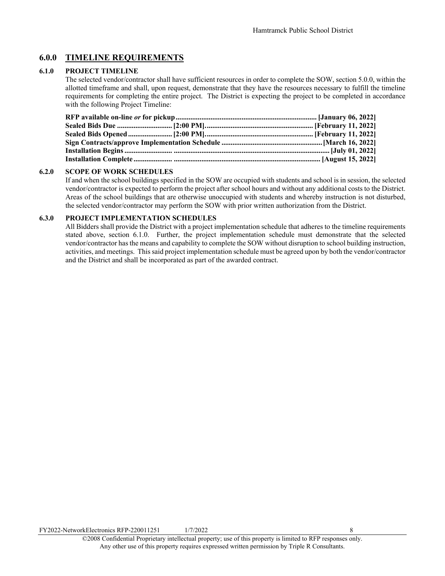#### <span id="page-9-0"></span>**6.0.0 TIMELINE REQUIREMENTS**

#### **6.1.0 PROJECT TIMELINE**

The selected vendor/contractor shall have sufficient resources in order to complete the SOW, section 5.0.0, within the allotted timeframe and shall, upon request, demonstrate that they have the resources necessary to fulfill the timeline requirements for completing the entire project. The District is expecting the project to be completed in accordance with the following Project Timeline:

#### **6.2.0 SCOPE OF WORK SCHEDULES**

If and when the school buildings specified in the SOW are occupied with students and school is in session, the selected vendor/contractor is expected to perform the project after school hours and without any additional costs to the District. Areas of the school buildings that are otherwise unoccupied with students and whereby instruction is not disturbed, the selected vendor/contractor may perform the SOW with prior written authorization from the District.

#### **6.3.0 PROJECT IMPLEMENTATION SCHEDULES**

All Bidders shall provide the District with a project implementation schedule that adheres to the timeline requirements stated above, section 6.1.0. Further, the project implementation schedule must demonstrate that the selected vendor/contractor has the means and capability to complete the SOW without disruption to school building instruction, activities, and meetings. This said project implementation schedule must be agreed upon by both the vendor/contractor and the District and shall be incorporated as part of the awarded contract.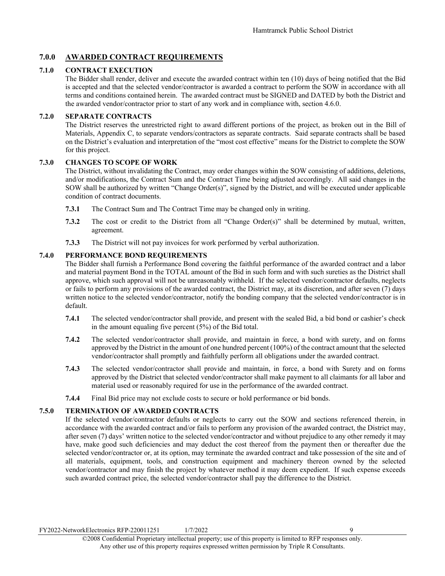#### <span id="page-10-0"></span>**7.0.0 AWARDED CONTRACT REQUIREMENTS**

#### **7.1.0 CONTRACT EXECUTION**

The Bidder shall render, deliver and execute the awarded contract within ten (10) days of being notified that the Bid is accepted and that the selected vendor/contractor is awarded a contract to perform the SOW in accordance with all terms and conditions contained herein. The awarded contract must be SIGNED and DATED by both the District and the awarded vendor/contractor prior to start of any work and in compliance with, section 4.6.0.

#### **7.2.0 SEPARATE CONTRACTS**

The District reserves the unrestricted right to award different portions of the project, as broken out in the Bill of Materials, Appendix C, to separate vendors/contractors as separate contracts. Said separate contracts shall be based on the District's evaluation and interpretation of the "most cost effective" means for the District to complete the SOW for this project.

#### **7.3.0 CHANGES TO SCOPE OF WORK**

The District, without invalidating the Contract, may order changes within the SOW consisting of additions, deletions, and/or modifications, the Contract Sum and the Contract Time being adjusted accordingly. All said changes in the SOW shall be authorized by written "Change Order(s)", signed by the District, and will be executed under applicable condition of contract documents.

- **7.3.1** The Contract Sum and The Contract Time may be changed only in writing.
- **7.3.2** The cost or credit to the District from all "Change Order(s)" shall be determined by mutual, written, agreement.
- **7.3.3** The District will not pay invoices for work performed by verbal authorization.

#### **7.4.0 PERFORMANCE BOND REQUIREMENTS**

The Bidder shall furnish a Performance Bond covering the faithful performance of the awarded contract and a labor and material payment Bond in the TOTAL amount of the Bid in such form and with such sureties as the District shall approve, which such approval will not be unreasonably withheld. If the selected vendor/contractor defaults, neglects or fails to perform any provisions of the awarded contract, the District may, at its discretion, and after seven (7) days written notice to the selected vendor/contractor, notify the bonding company that the selected vendor/contractor is in default.

- **7.4.1** The selected vendor/contractor shall provide, and present with the sealed Bid, a bid bond or cashier's check in the amount equaling five percent (5%) of the Bid total.
- **7.4.2** The selected vendor/contractor shall provide, and maintain in force, a bond with surety, and on forms approved by the District in the amount of one hundred percent (100%) of the contract amount that the selected vendor/contractor shall promptly and faithfully perform all obligations under the awarded contract.
- **7.4.3** The selected vendor/contractor shall provide and maintain, in force, a bond with Surety and on forms approved by the District that selected vendor/contractor shall make payment to all claimants for all labor and material used or reasonably required for use in the performance of the awarded contract.
- **7.4.4** Final Bid price may not exclude costs to secure or hold performance or bid bonds.

#### **7.5.0 TERMINATION OF AWARDED CONTRACTS**

If the selected vendor/contractor defaults or neglects to carry out the SOW and sections referenced therein, in accordance with the awarded contract and/or fails to perform any provision of the awarded contract, the District may, after seven (7) days' written notice to the selected vendor/contractor and without prejudice to any other remedy it may have, make good such deficiencies and may deduct the cost thereof from the payment then or thereafter due the selected vendor/contractor or, at its option, may terminate the awarded contract and take possession of the site and of all materials, equipment, tools, and construction equipment and machinery thereon owned by the selected vendor/contractor and may finish the project by whatever method it may deem expedient. If such expense exceeds such awarded contract price, the selected vendor/contractor shall pay the difference to the District.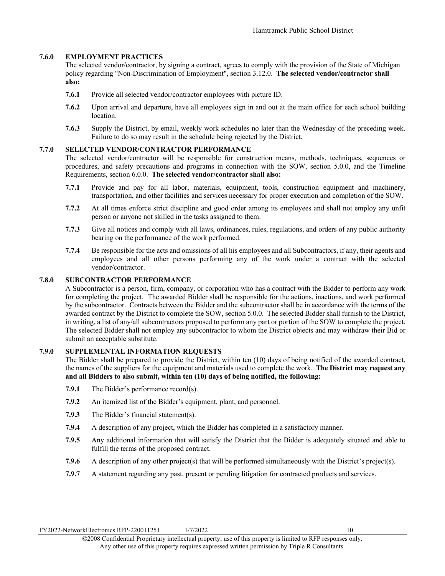#### **7.6.0 EMPLOYMENT PRACTICES**

The selected vendor/contractor, by signing a contract, agrees to comply with the provision of the State of Michigan policy regarding "Non-Discrimination of Employment", section 3.12.0. **The selected vendor/contractor shall also:**

- **7.6.1** Provide all selected vendor/contractor employees with picture ID.
- **7.6.2** Upon arrival and departure, have all employees sign in and out at the main office for each school building location.
- **7.6.3** Supply the District, by email, weekly work schedules no later than the Wednesday of the preceding week. Failure to do so may result in the schedule being rejected by the District.

#### **7.7.0 SELECTED VENDOR/CONTRACTOR PERFORMANCE**

The selected vendor/contractor will be responsible for construction means, methods, techniques, sequences or procedures, and safety precautions and programs in connection with the SOW, section 5.0.0, and the Timeline Requirements, section 6.0.0. **The selected vendor/contractor shall also:** 

- **7.7.1** Provide and pay for all labor, materials, equipment, tools, construction equipment and machinery, transportation, and other facilities and services necessary for proper execution and completion of the SOW.
- **7.7.2** At all times enforce strict discipline and good order among its employees and shall not employ any unfit person or anyone not skilled in the tasks assigned to them.
- **7.7.3** Give all notices and comply with all laws, ordinances, rules, regulations, and orders of any public authority bearing on the performance of the work performed.
- **7.7.4** Be responsible for the acts and omissions of all his employees and all Subcontractors, if any, their agents and employees and all other persons performing any of the work under a contract with the selected vendor/contractor.

#### **7.8.0 SUBCONTRACTOR PERFORMANCE**

A Subcontractor is a person, firm, company, or corporation who has a contract with the Bidder to perform any work for completing the project. The awarded Bidder shall be responsible for the actions, inactions, and work performed by the subcontractor. Contracts between the Bidder and the subcontractor shall be in accordance with the terms of the awarded contract by the District to complete the SOW, section 5.0.0. The selected Bidder shall furnish to the District, in writing, a list of any/all subcontractors proposed to perform any part or portion of the SOW to complete the project. The selected Bidder shall not employ any subcontractor to whom the District objects and may withdraw their Bid or submit an acceptable substitute.

#### **7.9.0 SUPPLEMENTAL INFORMATION REQUESTS**

The Bidder shall be prepared to provide the District, within ten (10) days of being notified of the awarded contract, the names of the suppliers for the equipment and materials used to complete the work. **The District may request any and all Bidders to also submit, within ten (10) days of being notified, the following:**

- **7.9.1** The Bidder's performance record(s).
- **7.9.2** An itemized list of the Bidder's equipment, plant, and personnel.
- **7.9.3** The Bidder's financial statement(s).
- **7.9.4** A description of any project, which the Bidder has completed in a satisfactory manner.
- **7.9.5** Any additional information that will satisfy the District that the Bidder is adequately situated and able to fulfill the terms of the proposed contract.
- **7.9.6** A description of any other project(s) that will be performed simultaneously with the District's project(s).
- **7.9.7** A statement regarding any past, present or pending litigation for contracted products and services.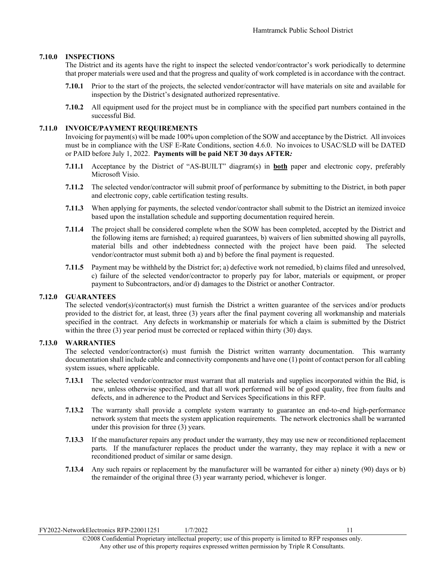#### **7.10.0 INSPECTIONS**

The District and its agents have the right to inspect the selected vendor/contractor's work periodically to determine that proper materials were used and that the progress and quality of work completed is in accordance with the contract.

- **7.10.1** Prior to the start of the projects, the selected vendor/contractor will have materials on site and available for inspection by the District's designated authorized representative.
- **7.10.2** All equipment used for the project must be in compliance with the specified part numbers contained in the successful Bid.

#### **7.11.0 INVOICE/PAYMENT REQUIREMENTS**

Invoicing for payment(s) will be made 100% upon completion of the SOW and acceptance by the District. All invoices must be in compliance with the USF E-Rate Conditions, section 4.6.0. No invoices to USAC/SLD will be DATED or PAID before July 1, 2022. **Payments will be paid NET 30 days AFTER***:*

- **7.11.1** Acceptance by the District of "AS-BUILT" diagram(s) in **both** paper and electronic copy, preferably Microsoft Visio.
- **7.11.2** The selected vendor/contractor will submit proof of performance by submitting to the District, in both paper and electronic copy, cable certification testing results.
- **7.11.3** When applying for payments, the selected vendor/contractor shall submit to the District an itemized invoice based upon the installation schedule and supporting documentation required herein.
- **7.11.4** The project shall be considered complete when the SOW has been completed, accepted by the District and the following items are furnished; a) required guarantees, b) waivers of lien submitted showing all payrolls, material bills and other indebtedness connected with the project have been paid. The selected vendor/contractor must submit both a) and b) before the final payment is requested.
- **7.11.5** Payment may be withheld by the District for; a) defective work not remedied, b) claims filed and unresolved, c) failure of the selected vendor/contractor to properly pay for labor, materials or equipment, or proper payment to Subcontractors, and/or d) damages to the District or another Contractor.

#### **7.12.0 GUARANTEES**

The selected vendor(s)/contractor(s) must furnish the District a written guarantee of the services and/or products provided to the district for, at least, three (3) years after the final payment covering all workmanship and materials specified in the contract. Any defects in workmanship or materials for which a claim is submitted by the District within the three (3) year period must be corrected or replaced within thirty (30) days.

#### **7.13.0 WARRANTIES**

The selected vendor/contractor(s) must furnish the District written warranty documentation. This warranty documentation shall include cable and connectivity components and have one (1) point of contact person for all cabling system issues, where applicable.

- **7.13.1** The selected vendor/contractor must warrant that all materials and supplies incorporated within the Bid, is new, unless otherwise specified, and that all work performed will be of good quality, free from faults and defects, and in adherence to the Product and Services Specifications in this RFP.
- **7.13.2** The warranty shall provide a complete system warranty to guarantee an end-to-end high-performance network system that meets the system application requirements. The network electronics shall be warranted under this provision for three (3) years.
- **7.13.3** If the manufacturer repairs any product under the warranty, they may use new or reconditioned replacement parts. If the manufacturer replaces the product under the warranty, they may replace it with a new or reconditioned product of similar or same design.
- **7.13.4** Any such repairs or replacement by the manufacturer will be warranted for either a) ninety (90) days or b) the remainder of the original three (3) year warranty period, whichever is longer.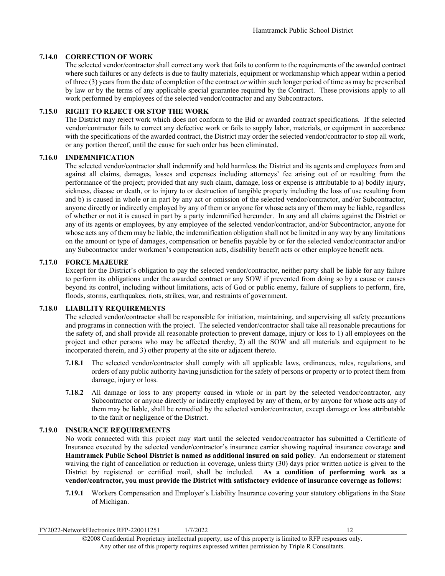#### **7.14.0 CORRECTION OF WORK**

The selected vendor/contractor shall correct any work that fails to conform to the requirements of the awarded contract where such failures or any defects is due to faulty materials, equipment or workmanship which appear within a period of three (3) years from the date of completion of the contract *or* within such longer period of time as may be prescribed by law or by the terms of any applicable special guarantee required by the Contract. These provisions apply to all work performed by employees of the selected vendor/contractor and any Subcontractors.

#### **7.15.0 RIGHT TO REJECT OR STOP THE WORK**

The District may reject work which does not conform to the Bid or awarded contract specifications. If the selected vendor/contractor fails to correct any defective work or fails to supply labor, materials, or equipment in accordance with the specifications of the awarded contract, the District may order the selected vendor/contractor to stop all work, or any portion thereof, until the cause for such order has been eliminated.

#### **7.16.0 INDEMNIFICATION**

The selected vendor/contractor shall indemnify and hold harmless the District and its agents and employees from and against all claims, damages, losses and expenses including attorneys' fee arising out of or resulting from the performance of the project; provided that any such claim, damage, loss or expense is attributable to a) bodily injury, sickness, disease or death, or to injury to or destruction of tangible property including the loss of use resulting from and b) is caused in whole or in part by any act or omission of the selected vendor/contractor, and/or Subcontractor, anyone directly or indirectly employed by any of them or anyone for whose acts any of them may be liable, regardless of whether or not it is caused in part by a party indemnified hereunder. In any and all claims against the District or any of its agents or employees, by any employee of the selected vendor/contractor, and/or Subcontractor, anyone for whose acts any of them may be liable, the indemnification obligation shall not be limited in any way by any limitations on the amount or type of damages, compensation or benefits payable by or for the selected vendor/contractor and/or any Subcontractor under workmen's compensation acts, disability benefit acts or other employee benefit acts.

#### **7.17.0 FORCE MAJEURE**

Except for the District's obligation to pay the selected vendor/contractor, neither party shall be liable for any failure to perform its obligations under the awarded contract or any SOW if prevented from doing so by a cause or causes beyond its control, including without limitations, acts of God or public enemy, failure of suppliers to perform, fire, floods, storms, earthquakes, riots, strikes, war, and restraints of government.

#### **7.18.0 LIABILITY REQUIREMENTS**

The selected vendor/contractor shall be responsible for initiation, maintaining, and supervising all safety precautions and programs in connection with the project. The selected vendor/contractor shall take all reasonable precautions for the safety of, and shall provide all reasonable protection to prevent damage, injury or loss to 1) all employees on the project and other persons who may be affected thereby, 2) all the SOW and all materials and equipment to be incorporated therein, and 3) other property at the site or adjacent thereto.

- **7.18.1** The selected vendor/contractor shall comply with all applicable laws, ordinances, rules, regulations, and orders of any public authority having jurisdiction for the safety of persons or property or to protect them from damage, injury or loss.
- **7.18.2** All damage or loss to any property caused in whole or in part by the selected vendor/contractor, any Subcontractor or anyone directly or indirectly employed by any of them, or by anyone for whose acts any of them may be liable, shall be remedied by the selected vendor/contractor, except damage or loss attributable to the fault or negligence of the District.

#### **7.19.0 INSURANCE REQUIREMENTS**

No work connected with this project may start until the selected vendor/contractor has submitted a Certificate of Insurance executed by the selected vendor/contractor's insurance carrier showing required insurance coverage **and Hamtramck Public School District is named as additional insured on said policy**. An endorsement or statement waiving the right of cancellation or reduction in coverage, unless thirty (30) days prior written notice is given to the District by registered or certified mail, shall be included. **As a condition of performing work as a vendor/contractor, you must provide the District with satisfactory evidence of insurance coverage as follows:**

**7.19.1** Workers Compensation and Employer's Liability Insurance covering your statutory obligations in the State of Michigan.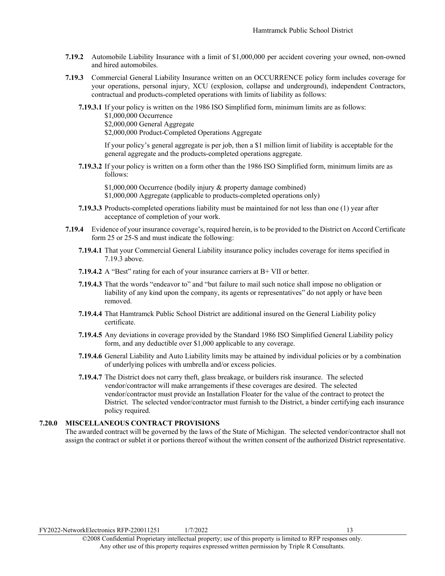- **7.19.2** Automobile Liability Insurance with a limit of \$1,000,000 per accident covering your owned, non-owned and hired automobiles.
- **7.19.3** Commercial General Liability Insurance written on an OCCURRENCE policy form includes coverage for your operations, personal injury, XCU (explosion, collapse and underground), independent Contractors, contractual and products-completed operations with limits of liability as follows:
	- **7.19.3.1** If your policy is written on the 1986 ISO Simplified form, minimum limits are as follows: \$1,000,000 Occurrence \$2,000,000 General Aggregate \$2,000,000 Product-Completed Operations Aggregate

If your policy's general aggregate is per job, then a \$1 million limit of liability is acceptable for the general aggregate and the products-completed operations aggregate.

**7.19.3.2** If your policy is written on a form other than the 1986 ISO Simplified form, minimum limits are as follows:

\$1,000,000 Occurrence (bodily injury & property damage combined) \$1,000,000 Aggregate (applicable to products-completed operations only)

- **7.19.3.3** Products-completed operations liability must be maintained for not less than one (1) year after acceptance of completion of your work.
- **7.19.4** Evidence of your insurance coverage's, required herein, is to be provided to the District on Accord Certificate form 25 or 25-S and must indicate the following:
	- **7.19.4.1** That your Commercial General Liability insurance policy includes coverage for items specified in 7.19.3 above.
	- **7.19.4.2** A "Best" rating for each of your insurance carriers at B+ VII or better.
	- **7.19.4.3** That the words "endeavor to" and "but failure to mail such notice shall impose no obligation or liability of any kind upon the company, its agents or representatives" do not apply or have been removed.
	- **7.19.4.4** That Hamtramck Public School District are additional insured on the General Liability policy certificate.
	- **7.19.4.5** Any deviations in coverage provided by the Standard 1986 ISO Simplified General Liability policy form, and any deductible over \$1,000 applicable to any coverage.
	- **7.19.4.6** General Liability and Auto Liability limits may be attained by individual policies or by a combination of underlying polices with umbrella and/or excess policies.
	- **7.19.4.7** The District does not carry theft, glass breakage, or builders risk insurance. The selected vendor/contractor will make arrangements if these coverages are desired. The selected vendor/contractor must provide an Installation Floater for the value of the contract to protect the District. The selected vendor/contractor must furnish to the District, a binder certifying each insurance policy required.

#### **7.20.0 MISCELLANEOUS CONTRACT PROVISIONS**

The awarded contract will be governed by the laws of the State of Michigan. The selected vendor/contractor shall not assign the contract or sublet it or portions thereof without the written consent of the authorized District representative.

FY2022-NetworkElectronics RFP-220011251 1/7/2022 13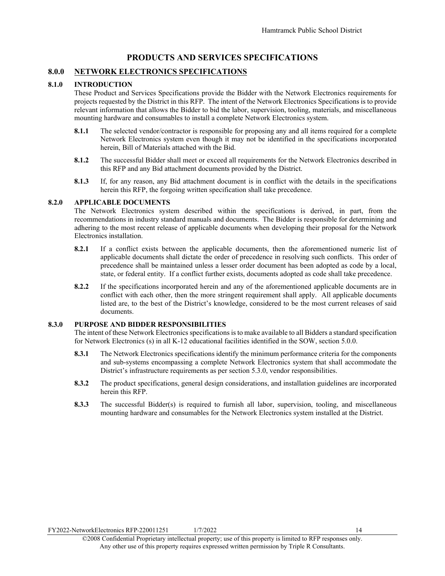#### **PRODUCTS AND SERVICES SPECIFICATIONS**

#### <span id="page-15-1"></span><span id="page-15-0"></span>**8.0.0 NETWORK ELECTRONICS SPECIFICATIONS**

#### **8.1.0 INTRODUCTION**

These Product and Services Specifications provide the Bidder with the Network Electronics requirements for projects requested by the District in this RFP. The intent of the Network Electronics Specifications is to provide relevant information that allows the Bidder to bid the labor, supervision, tooling, materials, and miscellaneous mounting hardware and consumables to install a complete Network Electronics system.

- **8.1.1** The selected vendor/contractor is responsible for proposing any and all items required for a complete Network Electronics system even though it may not be identified in the specifications incorporated herein, Bill of Materials attached with the Bid.
- **8.1.2** The successful Bidder shall meet or exceed all requirements for the Network Electronics described in this RFP and any Bid attachment documents provided by the District.
- **8.1.3** If, for any reason, any Bid attachment document is in conflict with the details in the specifications herein this RFP, the forgoing written specification shall take precedence.

#### **8.2.0 APPLICABLE DOCUMENTS**

The Network Electronics system described within the specifications is derived, in part, from the recommendations in industry standard manuals and documents. The Bidder is responsible for determining and adhering to the most recent release of applicable documents when developing their proposal for the Network Electronics installation.

- **8.2.1** If a conflict exists between the applicable documents, then the aforementioned numeric list of applicable documents shall dictate the order of precedence in resolving such conflicts. This order of precedence shall be maintained unless a lesser order document has been adopted as code by a local, state, or federal entity. If a conflict further exists, documents adopted as code shall take precedence.
- **8.2.2** If the specifications incorporated herein and any of the aforementioned applicable documents are in conflict with each other, then the more stringent requirement shall apply. All applicable documents listed are, to the best of the District's knowledge, considered to be the most current releases of said documents.

#### **8.3.0 PURPOSE AND BIDDER RESPONSIBILITIES**

The intent of these Network Electronics specifications is to make available to all Bidders a standard specification for Network Electronics (s) in all K-12 educational facilities identified in the SOW, section 5.0.0.

- **8.3.1** The Network Electronics specifications identify the minimum performance criteria for the components and sub-systems encompassing a complete Network Electronics system that shall accommodate the District's infrastructure requirements as per section 5.3.0, vendor responsibilities.
- **8.3.2** The product specifications, general design considerations, and installation guidelines are incorporated herein this RFP.
- **8.3.3** The successful Bidder(s) is required to furnish all labor, supervision, tooling, and miscellaneous mounting hardware and consumables for the Network Electronics system installed at the District.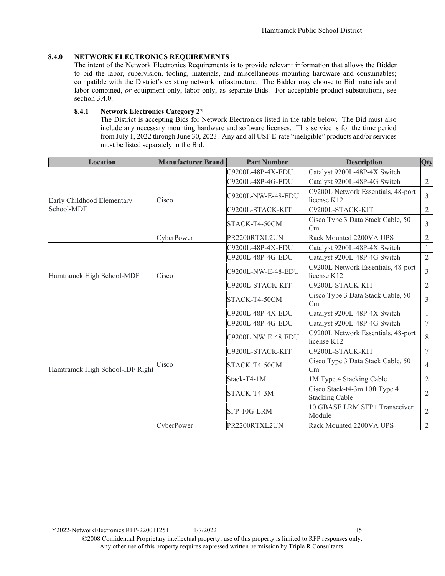#### **8.4.0 NETWORK ELECTRONICS REQUIREMENTS**

The intent of the Network Electronics Requirements is to provide relevant information that allows the Bidder to bid the labor, supervision, tooling, materials, and miscellaneous mounting hardware and consumables; compatible with the District's existing network infrastructure. The Bidder may choose to Bid materials and labor combined, *or* equipment only, labor only, as separate Bids. For acceptable product substitutions, see section 3.4.0.

#### **8.4.1 Network Electronics Category 2\***

The District is accepting Bids for Network Electronics listed in the table below. The Bid must also include any necessary mounting hardware and software licenses. This service is for the time period from July 1, 2022 through June 30, 2023. Any and all USF E-rate "ineligible" products and/or services must be listed separately in the Bid.

| <b>Location</b>                 | <b>Manufacturer Brand</b> | <b>Part Number</b> | <b>Description</b>                                     | Qty                |                                                   |   |
|---------------------------------|---------------------------|--------------------|--------------------------------------------------------|--------------------|---------------------------------------------------|---|
|                                 |                           | C9200L-48P-4X-EDU  | Catalyst 9200L-48P-4X Switch                           |                    |                                                   |   |
|                                 |                           | C9200L-48P-4G-EDU  | Catalyst 9200L-48P-4G Switch                           | $\overline{2}$     |                                                   |   |
| Early Childhood Elementary      | Cisco                     | C9200L-NW-E-48-EDU | C9200L Network Essentials, 48-port<br>license K12      | $\mathcal{E}$      |                                                   |   |
| School-MDF                      |                           | C9200L-STACK-KIT   | C9200L-STACK-KIT                                       | $\overline{2}$     |                                                   |   |
|                                 |                           | STACK-T4-50CM      | Cisco Type 3 Data Stack Cable, 50<br>Сm                | 3                  |                                                   |   |
|                                 | CyberPower                | PR2200RTXL2UN      | Rack Mounted 2200VA UPS                                | $\overline{2}$     |                                                   |   |
|                                 |                           | C9200L-48P-4X-EDU  | Catalyst 9200L-48P-4X Switch                           | 1                  |                                                   |   |
|                                 |                           | C9200L-48P-4G-EDU  | Catalyst 9200L-48P-4G Switch                           | $\sqrt{2}$         |                                                   |   |
| Hamtramck High School-MDF       | Cisco                     |                    |                                                        | C9200L-NW-E-48-EDU | C9200L Network Essentials, 48-port<br>license K12 | 3 |
|                                 |                           | C9200L-STACK-KIT   | C9200L-STACK-KIT                                       | $\overline{2}$     |                                                   |   |
|                                 |                           | STACK-T4-50CM      | Cisco Type 3 Data Stack Cable, 50<br>Cm.               | $\mathcal{E}$      |                                                   |   |
|                                 |                           | C9200L-48P-4X-EDU  | Catalyst 9200L-48P-4X Switch                           | 1                  |                                                   |   |
|                                 |                           | C9200L-48P-4G-EDU  | Catalyst 9200L-48P-4G Switch                           | 7                  |                                                   |   |
|                                 |                           | C9200L-NW-E-48-EDU | C9200L Network Essentials, 48-port<br>license K12      | 8                  |                                                   |   |
|                                 |                           | C9200L-STACK-KIT   | C9200L-STACK-KIT                                       | $\tau$             |                                                   |   |
| Hamtramck High School-IDF Right | Cisco                     | STACK-T4-50CM      | Cisco Type 3 Data Stack Cable, 50<br>Cm                | $\overline{4}$     |                                                   |   |
|                                 |                           | Stack-T4-1M        | 1M Type 4 Stacking Cable                               | $\overline{2}$     |                                                   |   |
|                                 |                           | STACK-T4-3M        | Cisco Stack-t4-3m 10ft Type 4<br><b>Stacking Cable</b> | 2                  |                                                   |   |
|                                 |                           | SFP-10G-LRM        | 10 GBASE LRM SFP+ Transceiver<br>Module                | $\overline{2}$     |                                                   |   |
|                                 | CyberPower                | PR2200RTXL2UN      | Rack Mounted 2200VA UPS                                | $\overline{2}$     |                                                   |   |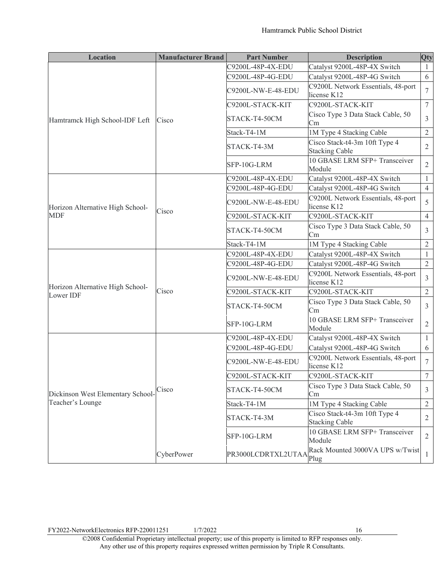| <b>Location</b>                   | <b>Manufacturer Brand</b> | <b>Part Number</b> | <b>Description</b>                                     | Qty              |
|-----------------------------------|---------------------------|--------------------|--------------------------------------------------------|------------------|
|                                   |                           | C9200L-48P-4X-EDU  | Catalyst 9200L-48P-4X Switch                           | -1               |
|                                   |                           | C9200L-48P-4G-EDU  | Catalyst 9200L-48P-4G Switch                           | 6                |
|                                   |                           | C9200L-NW-E-48-EDU | C9200L Network Essentials, 48-port<br>license K12      | 7                |
|                                   |                           | C9200L-STACK-KIT   | C9200L-STACK-KIT                                       | $\boldsymbol{7}$ |
| Hamtramck High School-IDF Left    | Cisco                     | STACK-T4-50CM      | Cisco Type 3 Data Stack Cable, 50<br>Сm                | 3                |
|                                   |                           | Stack-T4-1M        | 1M Type 4 Stacking Cable                               | $\overline{2}$   |
|                                   |                           | STACK-T4-3M        | Cisco Stack-t4-3m 10ft Type 4<br><b>Stacking Cable</b> | 2                |
|                                   |                           | SFP-10G-LRM        | 10 GBASE LRM SFP+ Transceiver<br>Module                | $\overline{2}$   |
|                                   |                           | C9200L-48P-4X-EDU  | Catalyst 9200L-48P-4X Switch                           | 1                |
|                                   |                           | C9200L-48P-4G-EDU  | Catalyst 9200L-48P-4G Switch                           | $\overline{4}$   |
| Horizon Alternative High School-  | Cisco                     | C9200L-NW-E-48-EDU | C9200L Network Essentials, 48-port<br>license K12      | 5                |
| <b>MDF</b>                        |                           | C9200L-STACK-KIT   | C9200L-STACK-KIT                                       | $\overline{4}$   |
|                                   |                           | STACK-T4-50CM      | Cisco Type 3 Data Stack Cable, 50<br>Cm                | 3                |
|                                   |                           | Stack-T4-1M        | 1M Type 4 Stacking Cable                               | $\sqrt{2}$       |
|                                   |                           | C9200L-48P-4X-EDU  | Catalyst 9200L-48P-4X Switch                           | 1                |
|                                   |                           | C9200L-48P-4G-EDU  | Catalyst 9200L-48P-4G Switch                           | $\mathfrak{2}$   |
| Horizon Alternative High School-  |                           | C9200L-NW-E-48-EDU | C9200L Network Essentials, 48-port<br>license K12      | 3                |
| Lower IDF                         | Cisco                     | C9200L-STACK-KIT   | C9200L-STACK-KIT                                       | $\overline{2}$   |
|                                   |                           | STACK-T4-50CM      | Cisco Type 3 Data Stack Cable, 50<br>Сm                | 3                |
|                                   |                           | SFP-10G-LRM        | 10 GBASE LRM SFP+ Transceiver<br>Module                | $\mathfrak{2}$   |
|                                   |                           | C9200L-48P-4X-EDU  | Catalyst 9200L-48P-4X Switch                           | $\mathbf{1}$     |
|                                   |                           | C9200L-48P-4G-EDU  | Catalyst 9200L-48P-4G Switch                           | 6                |
|                                   |                           | C9200L-NW-E-48-EDU | C9200L Network Essentials, 48-port<br>license K12      | 7                |
|                                   |                           | C9200L-STACK-KIT   | C9200L-STACK-KIT                                       | $\tau$           |
| Dickinson West Elementary School- | Cisco                     | STACK-T4-50CM      | Cisco Type 3 Data Stack Cable, 50<br>Cm                | $\overline{3}$   |
| Teacher's Lounge                  |                           | Stack-T4-1M        | 1M Type 4 Stacking Cable                               | $\overline{2}$   |
|                                   |                           | STACK-T4-3M        | Cisco Stack-t4-3m 10ft Type 4<br><b>Stacking Cable</b> | $\mathfrak{2}$   |
|                                   |                           | SFP-10G-LRM        | 10 GBASE LRM SFP+ Transceiver<br>Module                | $\overline{2}$   |
|                                   | CyberPower                | PR3000LCDRTXL2UTAA | Rack Mounted 3000VA UPS w/Twist<br>Plug                | $\mathbf{1}$     |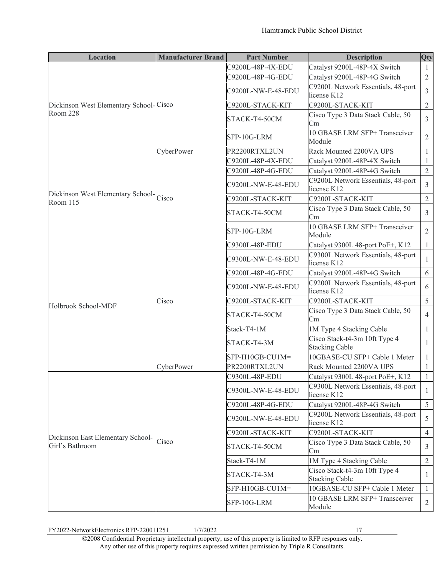| <b>Location</b>                                    | <b>Manufacturer Brand</b> | <b>Part Number</b> | <b>Description</b>                                     | Qty             |
|----------------------------------------------------|---------------------------|--------------------|--------------------------------------------------------|-----------------|
|                                                    |                           | C9200L-48P-4X-EDU  | Catalyst 9200L-48P-4X Switch                           | 1               |
|                                                    |                           | C9200L-48P-4G-EDU  | Catalyst 9200L-48P-4G Switch                           | $\overline{2}$  |
|                                                    |                           | C9200L-NW-E-48-EDU | C9200L Network Essentials, 48-port<br>license K12      | 3               |
| Dickinson West Elementary School-Cisco             |                           | C9200L-STACK-KIT   | C9200L-STACK-KIT                                       | $\overline{2}$  |
| Room 228                                           |                           | STACK-T4-50CM      | Cisco Type 3 Data Stack Cable, 50<br>Cm                | $\mathfrak{Z}$  |
|                                                    |                           | SFP-10G-LRM        | 10 GBASE LRM SFP+ Transceiver<br>Module                | $\overline{2}$  |
|                                                    | CyberPower                | PR2200RTXL2UN      | Rack Mounted 2200VA UPS                                | 1               |
|                                                    |                           | C9200L-48P-4X-EDU  | Catalyst 9200L-48P-4X Switch                           | 1               |
|                                                    |                           | C9200L-48P-4G-EDU  | Catalyst 9200L-48P-4G Switch                           | $\overline{2}$  |
|                                                    |                           | C9200L-NW-E-48-EDU | C9200L Network Essentials, 48-port<br>license K12      | 3               |
| Dickinson West Elementary School-Cisco<br>Room 115 |                           | C9200L-STACK-KIT   | C9200L-STACK-KIT                                       | 2               |
|                                                    |                           | STACK-T4-50CM      | Cisco Type 3 Data Stack Cable, 50<br>Cm                | 3               |
|                                                    |                           | SFP-10G-LRM        | 10 GBASE LRM SFP+ Transceiver<br>Module                | $\overline{2}$  |
|                                                    |                           | C9300L-48P-EDU     | Catalyst 9300L 48-port PoE+, K12                       | $\mathbf{1}$    |
|                                                    | Cisco                     | C9300L-NW-E-48-EDU | C9300L Network Essentials, 48-port<br>license K12      | $\mathbf{I}$    |
|                                                    |                           | C9200L-48P-4G-EDU  | Catalyst 9200L-48P-4G Switch                           | 6               |
|                                                    |                           | C9200L-NW-E-48-EDU | C9200L Network Essentials, 48-port<br>license K12      | 6               |
| Holbrook School-MDF                                |                           | C9200L-STACK-KIT   | C9200L-STACK-KIT                                       | 5               |
|                                                    |                           | STACK-T4-50CM      | Cisco Type 3 Data Stack Cable, 50<br>Cm                | $\overline{4}$  |
|                                                    |                           | Stack-T4-1M        | 1M Type 4 Stacking Cable                               | $\mathbf{1}$    |
|                                                    |                           | STACK-T4-3M        | Cisco Stack-t4-3m 10ft Type 4<br><b>Stacking Cable</b> | $\mathbf{1}$    |
|                                                    |                           | SFP-H10GB-CU1M=    | 10GBASE-CU SFP+ Cable 1 Meter                          | 1               |
|                                                    | CyberPower                | PR2200RTXL2UN      | Rack Mounted 2200VA UPS                                | 1               |
|                                                    |                           | C9300L-48P-EDU     | Catalyst 9300L 48-port PoE+, K12                       | $\mathbf{1}$    |
|                                                    |                           | C9300L-NW-E-48-EDU | C9300L Network Essentials, 48-port<br>license K12      | 1               |
|                                                    |                           | C9200L-48P-4G-EDU  | Catalyst 9200L-48P-4G Switch                           | $5\overline{)}$ |
|                                                    |                           | C9200L-NW-E-48-EDU | C9200L Network Essentials, 48-port<br>license K12      | 5               |
| Dickinson East Elementary School-                  |                           | C9200L-STACK-KIT   | C9200L-STACK-KIT                                       | $\overline{4}$  |
| Girl's Bathroom                                    | Cisco                     | STACK-T4-50CM      | Cisco Type 3 Data Stack Cable, 50<br>Cm                | 3               |
|                                                    |                           | Stack-T4-1M        | 1M Type 4 Stacking Cable                               | $\overline{2}$  |
|                                                    |                           | STACK-T4-3M        | Cisco Stack-t4-3m 10ft Type 4<br><b>Stacking Cable</b> | $\mathbf{1}$    |
|                                                    |                           | SFP-H10GB-CU1M=    | 10GBASE-CU SFP+ Cable 1 Meter                          | $\mathbf{1}$    |
|                                                    |                           | SFP-10G-LRM        | 10 GBASE LRM SFP+ Transceiver<br>Module                | 2               |

FY2022-NetworkElectronics RFP-220011251 1/7/2022 17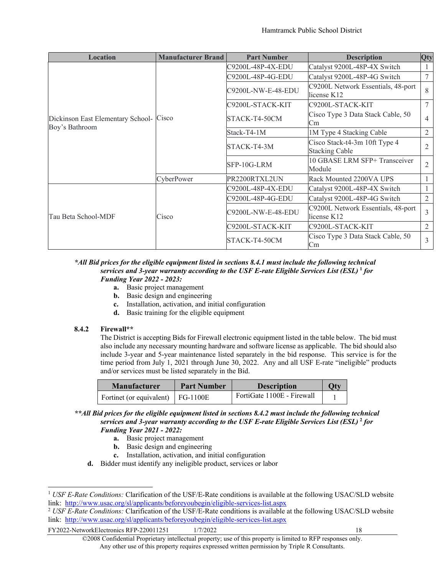| <b>Location</b>                                           | <b>Manufacturer Brand</b> | <b>Part Number</b> | <b>Description</b>                                     | Qty            |
|-----------------------------------------------------------|---------------------------|--------------------|--------------------------------------------------------|----------------|
|                                                           |                           | C9200L-48P-4X-EDU  | Catalyst 9200L-48P-4X Switch                           |                |
|                                                           |                           | C9200L-48P-4G-EDU  | Catalyst 9200L-48P-4G Switch                           | 7              |
|                                                           |                           | C9200L-NW-E-48-EDU | C9200L Network Essentials, 48-port<br>license K12      | 8              |
|                                                           |                           | C9200L-STACK-KIT   | C9200L-STACK-KIT                                       | 7              |
| Dickinson East Elementary School- Cisco<br>Boy's Bathroom |                           | STACK-T4-50CM      | Cisco Type 3 Data Stack Cable, 50<br>Cm                | 4              |
|                                                           |                           | Stack-T4-1M        | 1M Type 4 Stacking Cable                               | $\overline{2}$ |
|                                                           |                           | STACK-T4-3M        | Cisco Stack-t4-3m 10ft Type 4<br><b>Stacking Cable</b> | $\overline{2}$ |
|                                                           |                           | SFP-10G-LRM        | 10 GBASE LRM SFP+ Transceiver<br>Module                | $\overline{2}$ |
|                                                           | CyberPower                | PR2200RTXL2UN      | Rack Mounted 2200VA UPS                                |                |
|                                                           |                           | C9200L-48P-4X-EDU  | Catalyst 9200L-48P-4X Switch                           |                |
|                                                           |                           | C9200L-48P-4G-EDU  | Catalyst 9200L-48P-4G Switch                           | 2              |
| Tau Beta School-MDF                                       | Cisco                     | C9200L-NW-E-48-EDU | C9200L Network Essentials, 48-port<br>license K12      | 3              |
|                                                           |                           | C9200L-STACK-KIT   | C9200L-STACK-KIT                                       | 2              |
|                                                           |                           | STACK-T4-50CM      | Cisco Type 3 Data Stack Cable, 50<br>Cm                | 3              |

#### *\*All Bid prices for the eligible equipment listed in sections 8.4.1 must include the following technical services and 3-year warranty according to the USF E-rate Eligible Services List (ESL)* **[1](#page-19-0)** *for Funding Year 2022 - 2023:*

- **a.** Basic project management
- **b.** Basic design and engineering
- **c.** Installation, activation, and initial configuration
- **d.** Basic training for the eligible equipment

#### **8.4.2 Firewall\*\***

The District is accepting Bids for Firewall electronic equipment listed in the table below. The bid must also include any necessary mounting hardware and software license as applicable. The bid should also include 3-year and 5-year maintenance listed separately in the bid response. This service is for the time period from July 1, 2021 through June 30, 2022. Any and all USF E-rate "ineligible" products and/or services must be listed separately in the Bid.

| <b>Manufacturer</b>               | <b>Part Number</b> | <b>Description</b>         | Otv |
|-----------------------------------|--------------------|----------------------------|-----|
| Fortinet (or equivalent) FG-1100E |                    | FortiGate 1100E - Firewall |     |

*\*\*All Bid prices for the eligible equipment listed in sections 8.4.2 must include the following technical services and 3-year warranty according to the USF E-rate Eligible Services List (ESL)* **[2](#page-19-1)** *for Funding Year 2021 - 2022:*

- **a.** Basic project management
- **b.** Basic design and engineering
- **c.** Installation, activation, and initial configuration

**d.** Bidder must identify any ineligible product, services or labor

<span id="page-19-0"></span><sup>&</sup>lt;sup>1</sup> *USF E-Rate Conditions:* Clarification of the USF/E-Rate conditions is available at the following USAC/SLD website link:<http://www.usac.org/sl/applicants/beforeyoubegin/eligible-services-list.aspx>

<span id="page-19-1"></span><sup>2</sup> *USF E-Rate Conditions:* Clarification of the USF/E-Rate conditions is available at the following USAC/SLD website link:<http://www.usac.org/sl/applicants/beforeyoubegin/eligible-services-list.aspx>

<sup>©2008</sup> Confidential Proprietary intellectual property; use of this property is limited to RFP responses only. Any other use of this property requires expressed written permission by Triple R Consultants.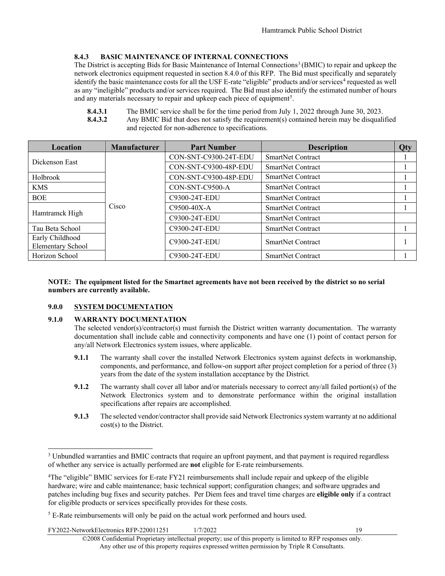#### **8.4.3 BASIC MAINTENANCE OF INTERNAL CONNECTIONS**

The District is accepting Bids for Basic Maintenance of Internal Connections<sup>[3](#page-20-1)</sup> (BMIC) to repair and upkeep the network electronics equipment requested in section 8.4.0 of this RFP. The Bid must specifically and separately identify the basic maintenance costs for all the USF E-rate "eligible" products and/or services<sup>[4](#page-20-2)</sup> requested as well as any "ineligible" products and/or services required. The Bid must also identify the estimated number of hours and any materials necessary to repair and upkeep each piece of equipment<sup>[5](#page-20-3)</sup>.

- **8.4.3.1** The BMIC service shall be for the time period from July 1, 2022 through June 30, 2023.
- **8.4.3.2** Any BMIC Bid that does not satisfy the requirement(s) contained herein may be disqualified and rejected for non-adherence to specifications.

| Location                                    | <b>Manufacturer</b> | <b>Part Number</b>    | <b>Description</b>       | <b>Qty</b> |
|---------------------------------------------|---------------------|-----------------------|--------------------------|------------|
| Dickenson East                              |                     | CON-SNT-C9300-24T-EDU | <b>SmartNet Contract</b> |            |
|                                             |                     | CON-SNT-C9300-48P-EDU | <b>SmartNet Contract</b> |            |
| Holbrook                                    |                     | CON-SNT-C9300-48P-EDU | <b>SmartNet Contract</b> |            |
| <b>KMS</b>                                  |                     | CON-SNT-C9500-A       | <b>SmartNet Contract</b> |            |
| <b>BOE</b>                                  |                     | C9300-24T-EDU         | <b>SmartNet Contract</b> |            |
|                                             | Cisco               | C9500-40X-A           | <b>SmartNet Contract</b> |            |
| Hamtramck High                              |                     | C9300-24T-EDU         | <b>SmartNet Contract</b> |            |
| Tau Beta School                             |                     | C9300-24T-EDU         | <b>SmartNet Contract</b> |            |
| Early Childhood<br><b>Elementary School</b> |                     | C9300-24T-EDU         | <b>SmartNet Contract</b> |            |
| Horizon School                              |                     | C9300-24T-EDU         | <b>SmartNet Contract</b> |            |

#### **NOTE: The equipment listed for the Smartnet agreements have not been received by the district so no serial numbers are currently available.**

#### <span id="page-20-0"></span>**9.0.0 SYSTEM DOCUMENTATION**

#### **9.1.0 WARRANTY DOCUMENTATION**

The selected vendor(s)/contractor(s) must furnish the District written warranty documentation. The warranty documentation shall include cable and connectivity components and have one (1) point of contact person for any/all Network Electronics system issues, where applicable.

- **9.1.1** The warranty shall cover the installed Network Electronics system against defects in workmanship, components, and performance, and follow-on support after project completion for a period of three (3) years from the date of the system installation acceptance by the District.
- **9.1.2** The warranty shall cover all labor and/or materials necessary to correct any/all failed portion(s) of the Network Electronics system and to demonstrate performance within the original installation specifications after repairs are accomplished.
- **9.1.3** The selected vendor/contractor shall provide said Network Electronics system warranty at no additional cost(s) to the District.

FY2022-NetworkElectronics RFP-220011251 1/7/2022 19

<span id="page-20-1"></span><sup>&</sup>lt;sup>3</sup> Unbundled warranties and BMIC contracts that require an upfront payment, and that payment is required regardless of whether any service is actually performed are **not** eligible for E-rate reimbursements.

<span id="page-20-2"></span><sup>&</sup>lt;sup>4</sup>The "eligible" BMIC services for E-rate FY21 reimbursements shall include repair and upkeep of the eligible hardware; wire and cable maintenance; basic technical support; configuration changes; and software upgrades and patches including bug fixes and security patches. Per Diem fees and travel time charges are **eligible only** if a contract for eligible products or services specifically provides for these costs.

<span id="page-20-3"></span><sup>&</sup>lt;sup>5</sup> E-Rate reimbursements will only be paid on the actual work performed and hours used.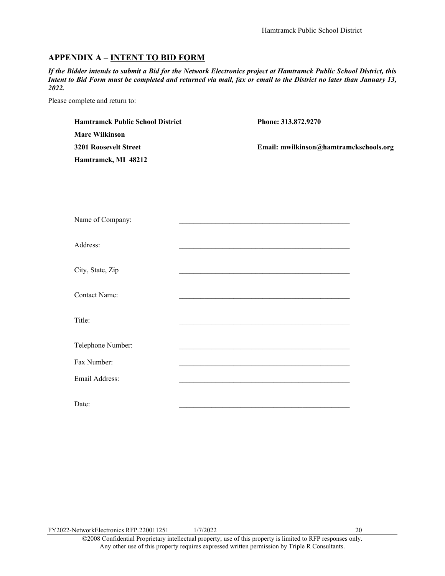#### <span id="page-21-0"></span>**APPENDIX A – INTENT TO BID FORM**

*If the Bidder intends to submit a Bid for the Network Electronics project at Hamtramck Public School District, this Intent to Bid Form must be completed and returned via mail, fax or email to the District no later than January 13, 2022.*

Please complete and return to:

| <b>Hamtramck Public School District</b> | Phone: 313.872.9270                    |
|-----------------------------------------|----------------------------------------|
| <b>Marc Wilkinson</b>                   |                                        |
| <b>3201 Roosevelt Street</b>            | Email: mwilkinson@hamtramckschools.org |
| Hamtramck, MI 48212                     |                                        |
|                                         |                                        |
|                                         |                                        |
|                                         |                                        |

| Name of Company:     |  |
|----------------------|--|
| Address:             |  |
| City, State, Zip     |  |
| <b>Contact Name:</b> |  |
| Title:               |  |
| Telephone Number:    |  |
| Fax Number:          |  |
| Email Address:       |  |
| Date:                |  |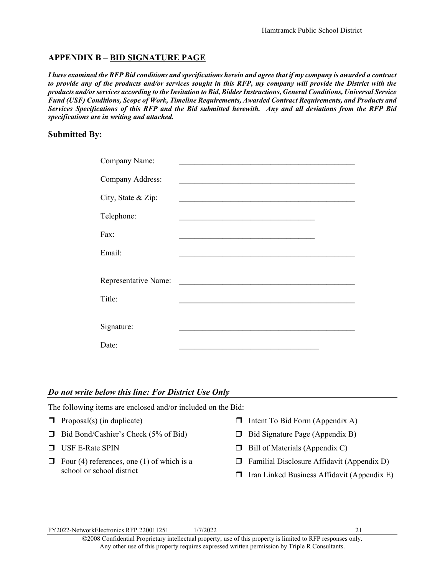#### <span id="page-22-0"></span>**APPENDIX B – BID SIGNATURE PAGE**

*I have examined the RFP Bid conditions and specifications herein and agree that if my company is awarded a contract to provide any of the products and/or services sought in this RFP, my company will provide the District with the products and/or services according to the Invitation to Bid, Bidder Instructions, General Conditions, Universal Service Fund (USF) Conditions, Scope of Work, Timeline Requirements, Awarded Contract Requirements, and Products and Services Specifications of this RFP and the Bid submitted herewith. Any and all deviations from the RFP Bid specifications are in writing and attached.*

#### **Submitted By:**

| Company Name:        |  |
|----------------------|--|
| Company Address:     |  |
| City, State & Zip:   |  |
| Telephone:           |  |
| Fax:                 |  |
| Email:               |  |
|                      |  |
| Representative Name: |  |
| Title:               |  |
|                      |  |
| Signature:           |  |
| Date:                |  |

#### *Do not write below this line: For District Use Only*

| The following items are enclosed and/or included on the Bid: |                                                                             |        |                                             |  |  |  |
|--------------------------------------------------------------|-----------------------------------------------------------------------------|--------|---------------------------------------------|--|--|--|
|                                                              | $\Box$ Proposal(s) (in duplicate)                                           | П      | Intent To Bid Form (Appendix A)             |  |  |  |
|                                                              | $\Box$ Bid Bond/Cashier's Check (5% of Bid)                                 | П.     | Bid Signature Page (Appendix B)             |  |  |  |
|                                                              | $\Box$ USF E-Rate SPIN                                                      | П.     | Bill of Materials (Appendix C)              |  |  |  |
| $\Box$                                                       | Four $(4)$ references, one $(1)$ of which is a<br>school or school district | $\Box$ | Familial Disclosure Affidavit (Appendix D)  |  |  |  |
|                                                              |                                                                             | П.     | Iran Linked Business Affidavit (Appendix E) |  |  |  |
|                                                              |                                                                             |        |                                             |  |  |  |

FY2022-NetworkElectronics RFP-220011251 1/7/2022 21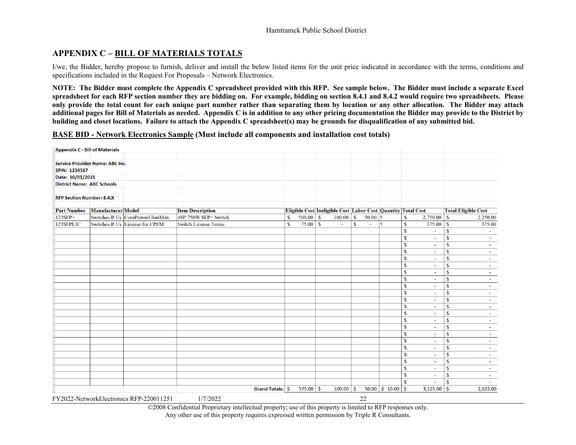#### **APPENDIX C – BILL OF MATERIALS TOTALS**

I/we, the Bidder, hereby propose to furnish, deliver and install the below listed items for the unit price indicated in accordance with the terms, conditions and specifications included in the Request For Proposals – Network Electronics.

**NOTE: The Bidder must complete the Appendix C spreadsheet provided with this RFP. See sample below. The Bidder must include a separate Excel spreadsheet for each RFP section number they are bidding on. For example, bidding on section 8.4.1 and 8.4.2 would require two spreadsheets. Please only provide the total count for each unique part number rather than separating them by location or any other allocation. The Bidder may attach additional pages for Bill of Materials as needed. Appendix C is in addition to any other pricing documentation the Bidder may provide to the District by building and closet locations. Failure to attach the Appendix C spreadsheet(s) may be grounds for disqualification of any submitted bid.**

**BASE BID - Network Electronics Sample (Must include all components and installation cost totals)**

<span id="page-23-0"></span>

| <b>Appendix C - Bill of Materials</b> |                                        |                                         |                             |                  |              |             |                                                              |             |           |                                   |              |                          |                            |          |
|---------------------------------------|----------------------------------------|-----------------------------------------|-----------------------------|------------------|--------------|-------------|--------------------------------------------------------------|-------------|-----------|-----------------------------------|--------------|--------------------------|----------------------------|----------|
|                                       |                                        |                                         |                             |                  |              |             |                                                              |             |           |                                   |              |                          |                            |          |
|                                       | <b>Service Provider Name: ABC Inc.</b> |                                         |                             |                  |              |             |                                                              |             |           |                                   |              |                          |                            |          |
| SPIN: 1234567                         |                                        |                                         |                             |                  |              |             |                                                              |             |           |                                   |              |                          |                            |          |
| Date: 10/01/2021                      |                                        |                                         |                             |                  |              |             |                                                              |             |           |                                   |              |                          |                            |          |
| <b>District Name: ABC Schools</b>     |                                        |                                         |                             |                  |              |             |                                                              |             |           |                                   |              |                          |                            |          |
| <b>RFP Section Number: 8.4.X</b>      |                                        |                                         |                             |                  |              |             |                                                              |             |           |                                   |              |                          |                            |          |
| <b>Part Number</b>                    | <b>Manufacturer</b> Model              |                                         | <b>Item Description</b>     |                  |              |             | Eligible Cost Ineligible Cost Labor Cost Quantity Total Cost |             |           |                                   |              |                          | <b>Total Eligible Cost</b> |          |
| 123SFP+                               |                                        | Switches R Us CorePowerFiberMax         | 48P 750W SFP+ Switch        |                  | $\mathbb{S}$ | $500.00$ \$ | $100.00$ \$                                                  |             | $50.00$ 5 |                                   | $\mathbf{s}$ | 2,750.00                 | $\mathbf{s}$               | 2,250.00 |
| 123SFPLIC                             |                                        | Switches R Us License for CPFM          | <b>Switch License Terms</b> |                  | $\mathbf S$  | $75.00$ \$  | ÷.                                                           | $\mathbf S$ | ÷.        | 15                                | $\mathbf{s}$ | 375.00                   | $\mathbf{\$}$              | 375.00   |
|                                       |                                        |                                         |                             |                  |              |             |                                                              |             |           |                                   | $\mathbf{s}$ | ٠                        | $\mathbf{\$}$              |          |
|                                       |                                        |                                         |                             |                  |              |             |                                                              |             |           |                                   | $\mathbf{s}$ | $\overline{a}$           | $\mathbf{s}$               |          |
|                                       |                                        |                                         |                             |                  |              |             |                                                              |             |           |                                   | $\mathbf{s}$ | $\blacksquare$           | $\mathbf{s}$               |          |
|                                       |                                        |                                         |                             |                  |              |             |                                                              |             |           |                                   | $\mathbf{s}$ | $\sim$                   | $\mathbf{s}$               |          |
|                                       |                                        |                                         |                             |                  |              |             |                                                              |             |           |                                   | $\mathbf S$  | ä,                       | $\mathbf{\$}$              |          |
|                                       |                                        |                                         |                             |                  |              |             |                                                              |             |           |                                   | $\mathbf S$  | ٠                        | $\mathbf{\$}$              |          |
|                                       |                                        |                                         |                             |                  |              |             |                                                              |             |           |                                   | $\mathbf S$  | $\sim$                   | $\mathbf{\$}$              |          |
|                                       |                                        |                                         |                             |                  |              |             |                                                              |             |           |                                   | $\mathbf{s}$ | $\blacksquare$           | $\overline{\mathbf{s}}$    |          |
|                                       |                                        |                                         |                             |                  |              |             |                                                              |             |           |                                   | $\mathbf{s}$ | $\blacksquare$           | $\mathbf{s}$               |          |
|                                       |                                        |                                         |                             |                  |              |             |                                                              |             |           |                                   | $\mathbf{s}$ | $\sim$                   | $\mathbf{s}$               |          |
|                                       |                                        |                                         |                             |                  |              |             |                                                              |             |           |                                   | $\mathbf S$  | ÷.                       | $\mathbf{\$}$              |          |
|                                       |                                        |                                         |                             |                  |              |             |                                                              |             |           |                                   | $\mathbf S$  | ٠                        | $\mathbf{\$}$              |          |
|                                       |                                        |                                         |                             |                  |              |             |                                                              |             |           |                                   | $\mathbf{s}$ | $\blacksquare$           | $\mathbf{\$}$              |          |
|                                       |                                        |                                         |                             |                  |              |             |                                                              |             |           |                                   | $\mathbf{s}$ | ٠                        | $\overline{\mathbf{s}}$    |          |
|                                       |                                        |                                         |                             |                  |              |             |                                                              |             |           |                                   | $\mathbf{s}$ | $\overline{\phantom{a}}$ | $\mathbf{s}$               |          |
|                                       |                                        |                                         |                             |                  |              |             |                                                              |             |           |                                   | $\mathbf{s}$ | $\blacksquare$           | $\mathbf{s}$               |          |
|                                       |                                        |                                         |                             |                  |              |             |                                                              |             |           |                                   | $\mathbf{s}$ | $\omega$                 | $\mathbf{s}$               |          |
|                                       |                                        |                                         |                             |                  |              |             |                                                              |             |           |                                   | $\mathbf S$  | $\mathbf{r}$             | $\mathbf{\$}$              |          |
|                                       |                                        |                                         |                             |                  |              |             |                                                              |             |           |                                   | $\mathbf S$  | ٠                        | $\mathbf{\$}$              |          |
|                                       |                                        |                                         |                             |                  |              |             |                                                              |             |           |                                   | $\mathbf{s}$ | $\overline{\phantom{a}}$ | $\mathbf{\$}$              |          |
|                                       |                                        |                                         |                             |                  |              |             |                                                              |             |           |                                   | $\mathbf{s}$ | $\mathbf{r}$             | $\overline{\mathbf{s}}$    |          |
|                                       |                                        |                                         |                             |                  |              |             |                                                              |             |           |                                   | $\mathbf{s}$ | $\blacksquare$           | $\mathbf{s}$               |          |
|                                       |                                        |                                         |                             |                  |              |             |                                                              |             |           |                                   | $\mathbf{s}$ | ÷.                       | $\mathbf{s}$               |          |
|                                       |                                        |                                         |                             | Grand Totals: \$ |              | 575.00 \$   | $100.00$ \$                                                  |             |           | $50.00 \mid \xi$ 10.00 $\mid \xi$ |              | $3,125.00$ \$            |                            | 2,625.00 |
|                                       |                                        | FY2022-NetworkElectronics RFP-220011251 | 1/7/2022                    |                  |              |             |                                                              |             | 22        |                                   |              |                          |                            |          |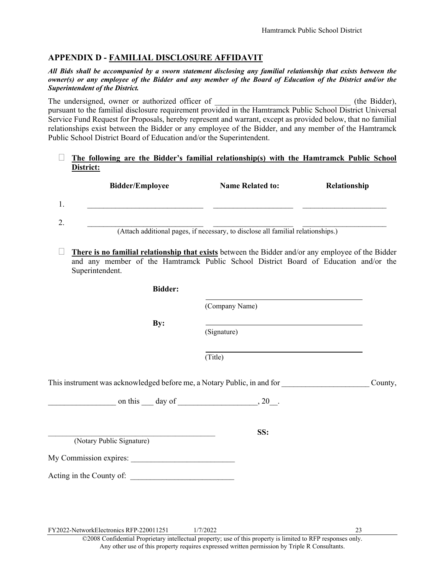#### <span id="page-24-0"></span>**APPENDIX D - FAMILIAL DISCLOSURE AFFIDAVIT**

*All Bids shall be accompanied by a sworn statement disclosing any familial relationship that exists between the owner(s) or any employee of the Bidder and any member of the Board of Education of the District and/or the Superintendent of the District.*

The undersigned, owner or authorized officer of  $\qquad \qquad$  (the Bidder), pursuant to the familial disclosure requirement provided in the Hamtramck Public School District Universal Service Fund Request for Proposals, hereby represent and warrant, except as provided below, that no familial relationships exist between the Bidder or any employee of the Bidder, and any member of the Hamtramck Public School District Board of Education and/or the Superintendent.

#### **The following are the Bidder's familial relationship(s) with the Hamtramck Public School District:**

|         | <b>Bidder/Employee</b>                                                           | <b>Name Related to:</b> | Relationship |  |  |  |  |  |
|---------|----------------------------------------------------------------------------------|-------------------------|--------------|--|--|--|--|--|
|         |                                                                                  |                         |              |  |  |  |  |  |
| າ<br>۷. |                                                                                  |                         |              |  |  |  |  |  |
|         | (Attach additional pages, if necessary, to disclose all familial relationships.) |                         |              |  |  |  |  |  |

 **There is no familial relationship that exists** between the Bidder and/or any employee of the Bidder and any member of the Hamtramck Public School District Board of Education and/or the Superintendent.

**Bidder:**

(Company Name)

**By:** 

(Signature)

(Title)

\_\_\_\_\_\_\_\_\_\_\_\_\_\_\_\_\_\_\_\_\_\_\_\_\_\_\_\_\_\_\_\_\_\_\_\_\_\_\_\_\_\_\_\_\_\_ **SS:**

This instrument was acknowledged before me, a Notary Public, in and for This instrument was acknowledged before me, a Notary Public, in and for

on this  $\qquad \qquad$  day of  $\qquad \qquad$ , 20.

(Notary Public Signature)

My Commission expires:

Acting in the County of: \_\_\_\_\_\_\_\_\_\_\_\_\_\_\_\_\_\_\_\_\_\_\_\_\_\_

FY2022-NetworkElectronics RFP-220011251 1/7/2022 23